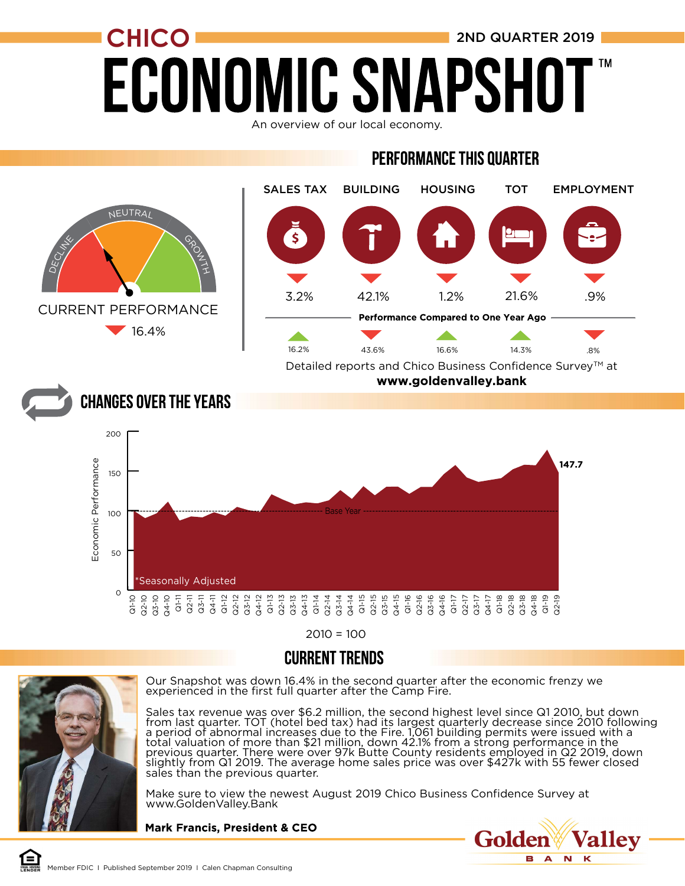# $CHICO$  2ND QUARTER 2019 **ECONOMIC SNAPSH**

An overview of our local economy.

#### **PERFORMANCE THIS QUARTER**



 $2010 = 100$ 

#### **CURRENT TRENDS**



Our Snapshot was down 16.4% in the second quarter after the economic frenzy we experienced in the first full quarter after the Camp Fire.

Sales tax revenue was over \$6.2 million, the second highest level since Q1 2010, but down from last quarter. TOT (hotel bed tax) had its largest quarterly decrease since 2010 following a period of abnormal increases due to the Fire. 1,061 building permits were issued with a total valuation of more than \$21 million, down 42.1% from a strong performance in the previous quarter. There were over 97k Butte County residents employed in Q2 2019, down slightly from Q1 2019. The average home sales price was over \$427k with 55 fewer closed sales than the previous quarter.

Make sure to view the newest August 2019 Chico Business Confidence Survey at www.GoldenValley.Bank

**Mark Francis, President & CEO** 

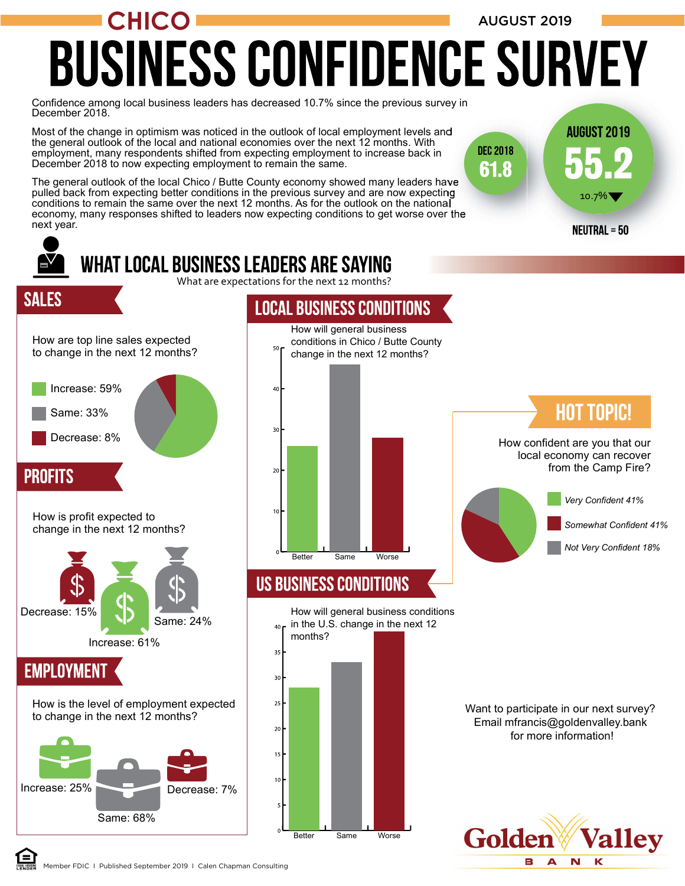# CHICO AUGUST 2019 **BUSINESS CONFIDENCE SURVEY**

10.7%

**AUGUST 2019** 

**DEC 2018** 61.8

Confidence among local business leaders has decreased 10.7% since the previous survey in December 2018.

Most of the change in optimism was noticed in the outlook of local employment levels and the general outlook of the local and national economies over the next 12 months. With employment, many respondents shifted from expecting employment to increase back in December 2018 to now expecting employment to remain the same.

The general outlook of the local Chico / Butte County economy showed many leaders have pulled back from expecting better conditions in the previous survey and are now expecting conditions to remain the same over the next 12 months. As for the outlook on the national economy, many responses shifted to leaders now expecting conditions to get worse over the next year.



Member FDIC I Published September 2019 I Calen Chapman Consulting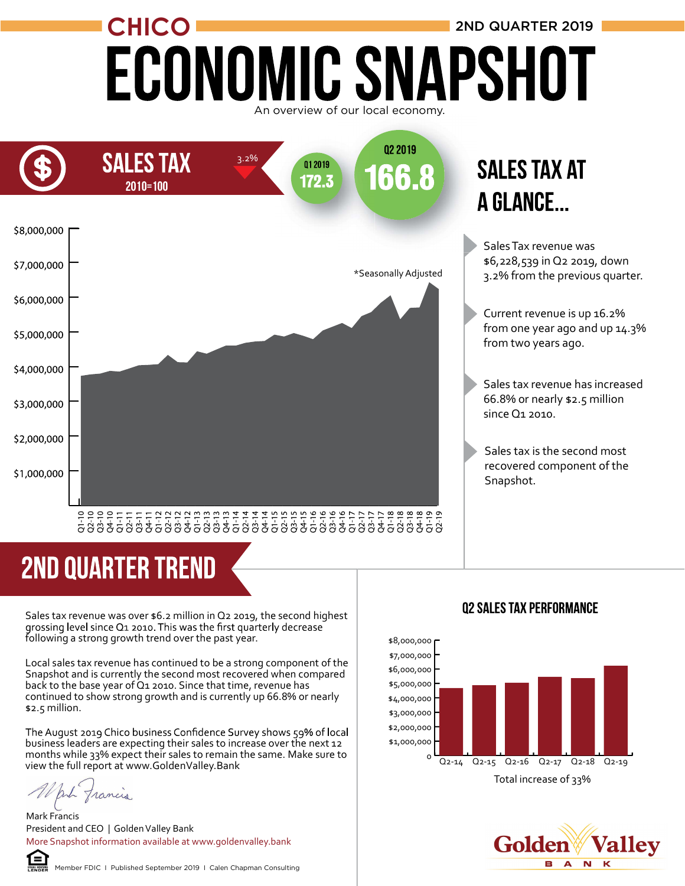### CHICO ECONOMIC SNAPSHOT 2ND QUARTER 2019



### **SALES TAX AT A GLANCE...**

Sales Tax revenue was \$6,228,539 in Q2 2019, down 3.2% from the previous quarter.

Current revenue is up 16.2% from one year ago and up 14.3% from two years ago.

Sales tax revenue has increased 66.8% or nearly \$2.5 million since Q1 2010.

Sales tax is the second most recovered component of the Snapshot.

## **2ND QUARTER TREND**

Sales tax revenue was over \$6.2 million in Q2 2019, the second highest<br>grossing level since Q1 2010. This was the first quarterly decrease following a strong growth trend over the past year.

Local sales tax revenue has continued to be a strong component of the Snapshot and is currently the second most recovered when compared back to the base year of Q1 2010. Since that time, revenue has continued to show strong growth and is currently up 66.8% or nearly \$2.5 million.

The August 2019 Chico business Confidence Survey shows 59% of local business leaders are expecting their sales to increase over the next 12 months while 33% expect their sales to remain the same. Make sure to view the full report at www.GoldenValley.Bank

anh Trancis

Mark Francis President and CEO | Golden Valley Bank More Snapshot information available at www.goldenvalley.bank



#### **02 SALES TAX PERFORMANCE**



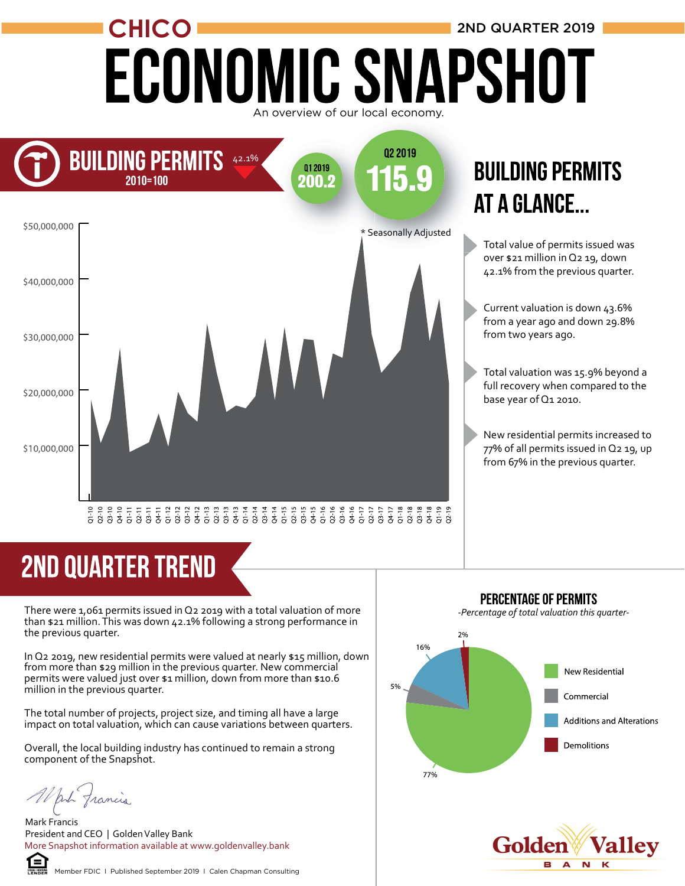# CHICO **CHICO 2ND QUARTER 2019** An overview of our local economy.



### **BUILDING PERMITS** AT A GLANCE...

Total value of permits issued was over \$21 million in Q2 19, down 42.1% from the previous quarter.

Current valuation is down 43.6% from a year ago and down 29.8% from two years ago.

Total valuation was 15.9% beyond a full recovery when compared to the base year of Q1 2010.

New residential permits increased to 77% of all permits issued in Q2 19, up from 67% in the previous quarter.

# **2ND QUARTER TREND**

There were 1,061 permits issued in Q2 2019 with a total valuation of more than \$21 million. This was down 42.1% following a strong performance in the previous quarter.

In Q2 2019, new residential permits were valued at nearly \$15 million, down from more than \$29 million in the previous quarter. New commercial permits were valued just over \$1 million, down from more than \$10.6 million in the previous quarter.

The total number of projects, project size, and timing all have a large impact on total valuation, which can cause variations between quarters.

Overall, the local building industry has continued to remain a strong component of the Snapshot.

White francis

Mark Francis President and CEO | Golden Valley Bank More Snapshot information available at www.goldenvalley.bank



Member FDIC I Published September 2019 I Calen Chapman Consulting

PERCENTAGE OF PERMITS

-Percentage of total valuation this quarter-



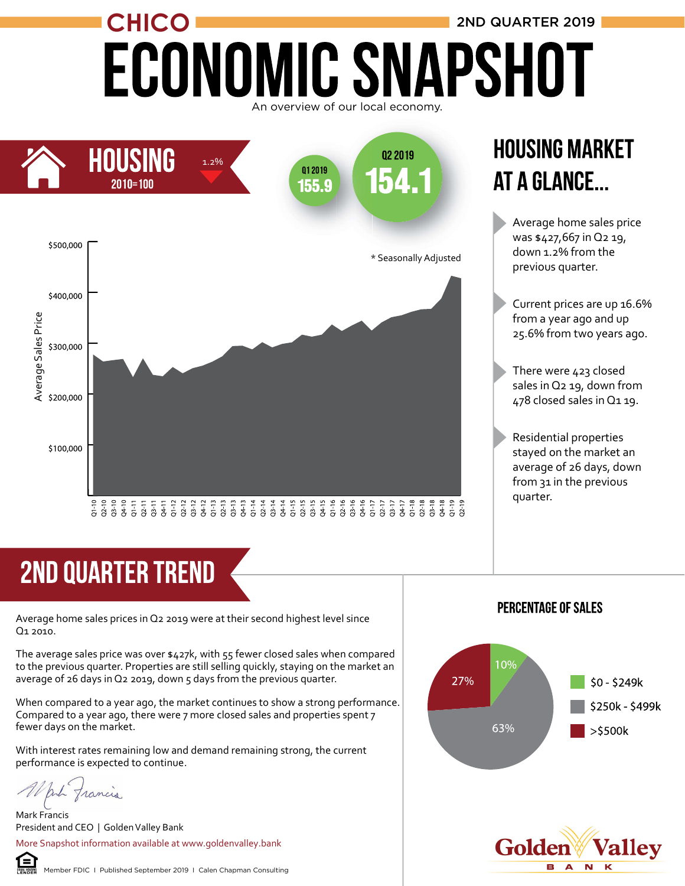### CHICO **2ND QUARTER 2019** ECONOMIC SNAPSHOT An overview of our local economy.



### **HOUSING MARKET** AT A GLANCE...

Average home sales price was \$427,667 in Q2 19, down 1.2% from the previous quarter.

Current prices are up 16.6% from a year ago and up 25.6% from two years ago.

There were 423 closed sales in Q2 19, down from 478 closed sales in Q1 19.

Residential properties stayed on the market an average of 26 days, down from 31 in the previous quarter.

### **2ND QUARTER TREND**

Average home sales prices in Q2 2019 were at their second highest level since Q1 2010.

The average sales price was over \$427k, with 55 fewer closed sales when compared to the previous quarter. Properties are still selling quickly, staying on the market an average of 26 days in Q2 2019, down 5 days from the previous quarter.

When compared to a year ago, the market continues to show a strong performance. Compared to a year ago, there were 7 more closed sales and properties spent 7 fewer days on the market.

With interest rates remaining low and demand remaining strong, the current performance is expected to continue.

put francis

Mark Francis President and CEO | Golden Valley Bank

More Snapshot information available at www.goldenvalley.bank

#### **PERCENTAGE OF SALES**



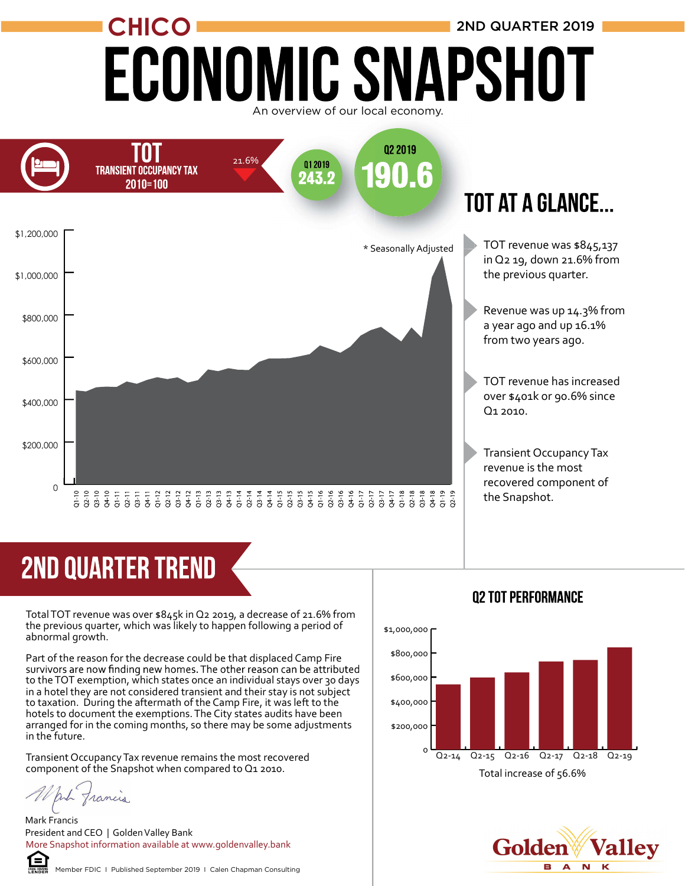# CHICO **2ND QUARTER 2019 ECONOMIC SNAPSHOT**





## **2ND QUARTER TREND**

Total TOT revenue was over \$845k in Q2 2019, a decrease of 21.6% from the previous quarter, which was likely to happen following a period of abnormal growth.

Part of the reason for the decrease could be that displaced Camp Fire<br>survivors are now finding new homes. The other reason can be attributed to the TOT exemption, which states once an individual stays over 30 days in a hotel they are not considered transient and their stay is not subject to taxation. During the aftermath of the Camp Fire, it was left to the hotels to document the exemptions. The City states audits have been arranged for in the coming months, so there may be some adjustments in the future.

Transient Occupancy Tax revenue remains the most recovered component of the Snapshot when compared to Q1 2010.

White francis

Mark Francis President and CEO | Golden Valley Bank More Snapshot information available at www.goldenvalley.bank



Member FDIC I Published September 2019 I Calen Chapman Consulting





#### **02 TOT PERFORMANCE**